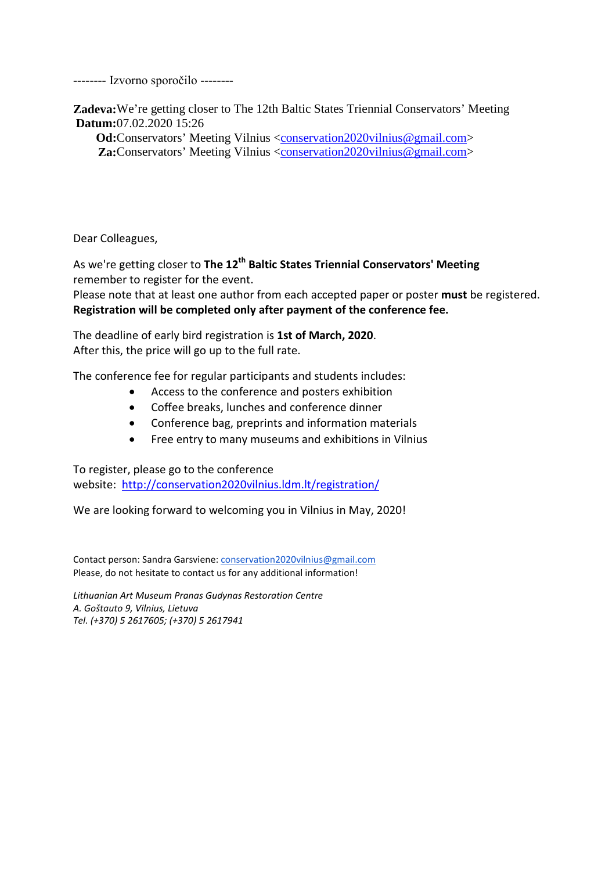-------- Izvorno sporočilo --------

**Zadeva:**We're getting closer to The 12th Baltic States Triennial Conservators' Meeting **Datum:**07.02.2020 15:26

**Od:**Conservators' Meeting Vilnius [<conservation2020vilnius@gmail.com>](mailto:conservation2020vilnius@gmail.com) **Za:**Conservators' Meeting Vilnius [<conservation2020vilnius@gmail.com>](mailto:conservation2020vilnius@gmail.com)

Dear Colleagues,

As we're getting closer to **The 12th Baltic States Triennial Conservators' Meeting** remember to register for the event.

Please note that at least one author from each accepted paper or poster **must** be registered. **Registration will be completed only after payment of the conference fee.** 

The deadline of early bird registration is **1st of March, 2020**. After this, the price will go up to the full rate.

The conference fee for regular participants and students includes:

- Access to the conference and posters exhibition
- Coffee breaks, lunches and conference dinner
- Conference bag, preprints and information materials
- Free entry to many museums and exhibitions in Vilnius

To register, please go to the conference website: <http://conservation2020vilnius.ldm.lt/registration/>

We are looking forward to welcoming you in Vilnius in May, 2020!

Contact person: Sandra Garsviene: [conservation2020vilnius@gmail.com](mailto:conservation2020vilnius@gmail.com) Please, do not hesitate to contact us for any additional information!

*Lithuanian Art Museum Pranas Gudynas Restoration Centre A. Goštauto 9, Vilnius, Lietuva Tel. (+370) 5 2617605; (+370) 5 2617941*